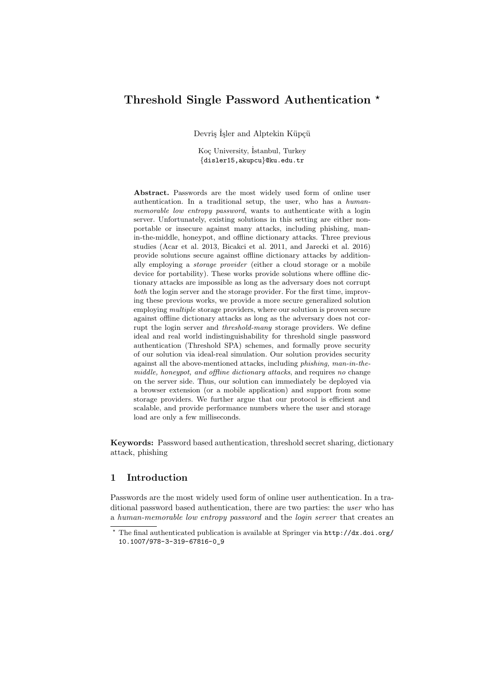# Threshold Single Password Authentication ?

Devris İsler and Alptekin Küpcü

Koc University, İstanbul, Turkey {disler15,akupcu}@ku.edu.tr

Abstract. Passwords are the most widely used form of online user authentication. In a traditional setup, the user, who has a humanmemorable low entropy password, wants to authenticate with a login server. Unfortunately, existing solutions in this setting are either nonportable or insecure against many attacks, including phishing, manin-the-middle, honeypot, and offline dictionary attacks. Three previous studies (Acar et al. 2013, Bicakci et al. 2011, and Jarecki et al. 2016) provide solutions secure against offline dictionary attacks by additionally employing a storage provider (either a cloud storage or a mobile device for portability). These works provide solutions where offline dictionary attacks are impossible as long as the adversary does not corrupt both the login server and the storage provider. For the first time, improving these previous works, we provide a more secure generalized solution employing multiple storage providers, where our solution is proven secure against offline dictionary attacks as long as the adversary does not corrupt the login server and threshold-many storage providers. We define ideal and real world indistinguishability for threshold single password authentication (Threshold SPA) schemes, and formally prove security of our solution via ideal-real simulation. Our solution provides security against all the above-mentioned attacks, including phishing, man-in-themiddle, honeypot, and offline dictionary attacks, and requires no change on the server side. Thus, our solution can immediately be deployed via a browser extension (or a mobile application) and support from some storage providers. We further argue that our protocol is efficient and scalable, and provide performance numbers where the user and storage load are only a few milliseconds.

Keywords: Password based authentication, threshold secret sharing, dictionary attack, phishing

## 1 Introduction

Passwords are the most widely used form of online user authentication. In a traditional password based authentication, there are two parties: the user who has a human-memorable low entropy password and the login server that creates an

<sup>?</sup> The final authenticated publication is available at Springer via http://dx.doi.org/ 10.1007/978-3-319-67816-0\_9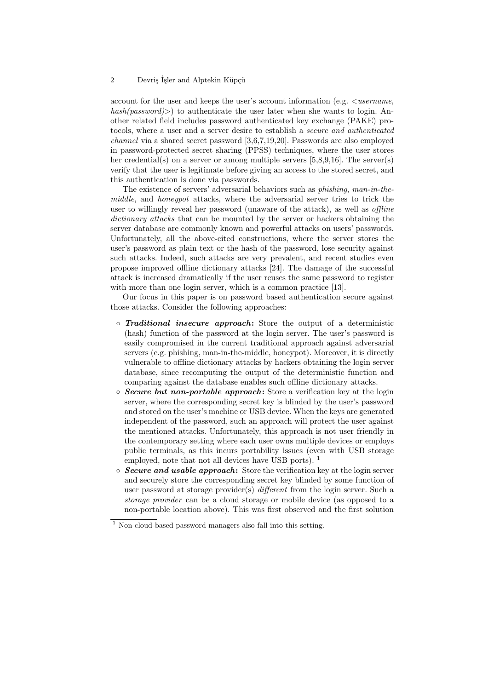account for the user and keeps the user's account information (e.g.  $\leq$ username,  $hash(password)$  to authenticate the user later when she wants to login. Another related field includes password authenticated key exchange (PAKE) protocols, where a user and a server desire to establish a secure and authenticated channel via a shared secret password [3,6,7,19,20]. Passwords are also employed in password-protected secret sharing (PPSS) techniques, where the user stores her credential(s) on a server or among multiple servers [5,8,9,16]. The server(s) verify that the user is legitimate before giving an access to the stored secret, and this authentication is done via passwords.

The existence of servers' adversarial behaviors such as phishing, man-in-themiddle, and honeypot attacks, where the adversarial server tries to trick the user to willingly reveal her password (unaware of the attack), as well as offline dictionary attacks that can be mounted by the server or hackers obtaining the server database are commonly known and powerful attacks on users' passwords. Unfortunately, all the above-cited constructions, where the server stores the user's password as plain text or the hash of the password, lose security against such attacks. Indeed, such attacks are very prevalent, and recent studies even propose improved offline dictionary attacks [24]. The damage of the successful attack is increased dramatically if the user reuses the same password to register with more than one login server, which is a common practice [13].

Our focus in this paper is on password based authentication secure against those attacks. Consider the following approaches:

- Traditional insecure approach: Store the output of a deterministic (hash) function of the password at the login server. The user's password is easily compromised in the current traditional approach against adversarial servers (e.g. phishing, man-in-the-middle, honeypot). Moreover, it is directly vulnerable to offline dictionary attacks by hackers obtaining the login server database, since recomputing the output of the deterministic function and comparing against the database enables such offline dictionary attacks.
- Secure but non-portable approach: Store a verification key at the login server, where the corresponding secret key is blinded by the user's password and stored on the user's machine or USB device. When the keys are generated independent of the password, such an approach will protect the user against the mentioned attacks. Unfortunately, this approach is not user friendly in the contemporary setting where each user owns multiple devices or employs public terminals, as this incurs portability issues (even with USB storage employed, note that not all devices have USB ports). <sup>1</sup>
- $\circ$  Secure and usable approach: Store the verification key at the login server and securely store the corresponding secret key blinded by some function of user password at storage provider(s) different from the login server. Such a storage provider can be a cloud storage or mobile device (as opposed to a non-portable location above). This was first observed and the first solution

 $1$  Non-cloud-based password managers also fall into this setting.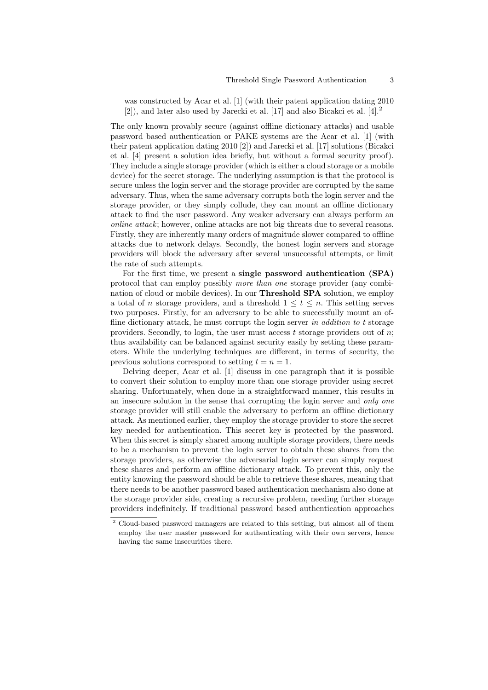was constructed by Acar et al. [1] (with their patent application dating 2010 [2]), and later also used by Jarecki et al. [17] and also Bicakci et al. [4].<sup>2</sup>

The only known provably secure (against offline dictionary attacks) and usable password based authentication or PAKE systems are the Acar et al. [1] (with their patent application dating 2010 [2]) and Jarecki et al. [17] solutions (Bicakci et al. [4] present a solution idea briefly, but without a formal security proof). They include a single storage provider (which is either a cloud storage or a mobile device) for the secret storage. The underlying assumption is that the protocol is secure unless the login server and the storage provider are corrupted by the same adversary. Thus, when the same adversary corrupts both the login server and the storage provider, or they simply collude, they can mount an offline dictionary attack to find the user password. Any weaker adversary can always perform an online attack; however, online attacks are not big threats due to several reasons. Firstly, they are inherently many orders of magnitude slower compared to offline attacks due to network delays. Secondly, the honest login servers and storage providers will block the adversary after several unsuccessful attempts, or limit the rate of such attempts.

For the first time, we present a single password authentication (SPA) protocol that can employ possibly more than one storage provider (any combination of cloud or mobile devices). In our Threshold SPA solution, we employ a total of n storage providers, and a threshold  $1 \leq t \leq n$ . This setting serves two purposes. Firstly, for an adversary to be able to successfully mount an offline dictionary attack, he must corrupt the login server in addition to t storage providers. Secondly, to login, the user must access  $t$  storage providers out of  $n$ ; thus availability can be balanced against security easily by setting these parameters. While the underlying techniques are different, in terms of security, the previous solutions correspond to setting  $t = n = 1$ .

Delving deeper, Acar et al. [1] discuss in one paragraph that it is possible to convert their solution to employ more than one storage provider using secret sharing. Unfortunately, when done in a straightforward manner, this results in an insecure solution in the sense that corrupting the login server and only one storage provider will still enable the adversary to perform an offline dictionary attack. As mentioned earlier, they employ the storage provider to store the secret key needed for authentication. This secret key is protected by the password. When this secret is simply shared among multiple storage providers, there needs to be a mechanism to prevent the login server to obtain these shares from the storage providers, as otherwise the adversarial login server can simply request these shares and perform an offline dictionary attack. To prevent this, only the entity knowing the password should be able to retrieve these shares, meaning that there needs to be another password based authentication mechanism also done at the storage provider side, creating a recursive problem, needing further storage providers indefinitely. If traditional password based authentication approaches

<sup>2</sup> Cloud-based password managers are related to this setting, but almost all of them employ the user master password for authenticating with their own servers, hence having the same insecurities there.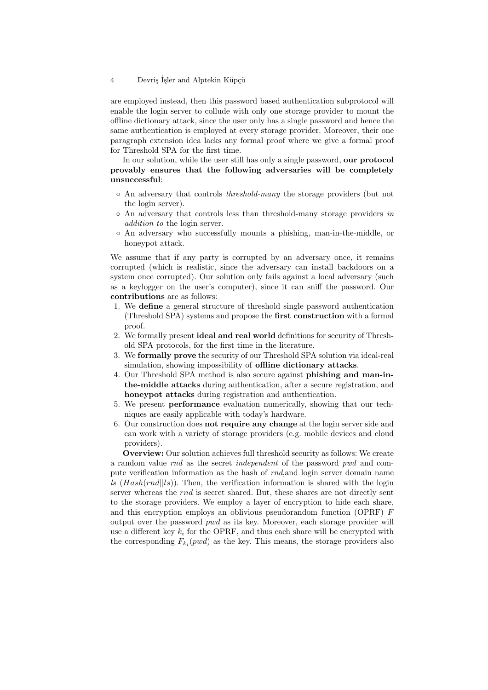are employed instead, then this password based authentication subprotocol will enable the login server to collude with only one storage provider to mount the offline dictionary attack, since the user only has a single password and hence the same authentication is employed at every storage provider. Moreover, their one paragraph extension idea lacks any formal proof where we give a formal proof for Threshold SPA for the first time.

In our solution, while the user still has only a single password, our protocol provably ensures that the following adversaries will be completely unsuccessful:

- An adversary that controls threshold-many the storage providers (but not the login server).
- $\circ$  An adversary that controls less than threshold-many storage providers in addition to the login server.
- An adversary who successfully mounts a phishing, man-in-the-middle, or honeypot attack.

We assume that if any party is corrupted by an adversary once, it remains corrupted (which is realistic, since the adversary can install backdoors on a system once corrupted). Our solution only fails against a local adversary (such as a keylogger on the user's computer), since it can sniff the password. Our contributions are as follows:

- 1. We define a general structure of threshold single password authentication (Threshold SPA) systems and propose the first construction with a formal proof.
- 2. We formally present ideal and real world definitions for security of Threshold SPA protocols, for the first time in the literature.
- 3. We formally prove the security of our Threshold SPA solution via ideal-real simulation, showing impossibility of **offline dictionary attacks**.
- 4. Our Threshold SPA method is also secure against phishing and man-inthe-middle attacks during authentication, after a secure registration, and honeypot attacks during registration and authentication.
- 5. We present performance evaluation numerically, showing that our techniques are easily applicable with today's hardware.
- 6. Our construction does not require any change at the login server side and can work with a variety of storage providers (e.g. mobile devices and cloud providers).

Overview: Our solution achieves full threshold security as follows: We create a random value rnd as the secret independent of the password pwd and compute verification information as the hash of rnd,and login server domain name ls  $(Hash(rnd||ls))$ . Then, the verification information is shared with the login server whereas the *rnd* is secret shared. But, these shares are not directly sent to the storage providers. We employ a layer of encryption to hide each share, and this encryption employs an oblivious pseudorandom function (OPRF) F output over the password  $pwd$  as its key. Moreover, each storage provider will use a different key  $k_i$  for the OPRF, and thus each share will be encrypted with the corresponding  $F_{k_i}(pwd)$  as the key. This means, the storage providers also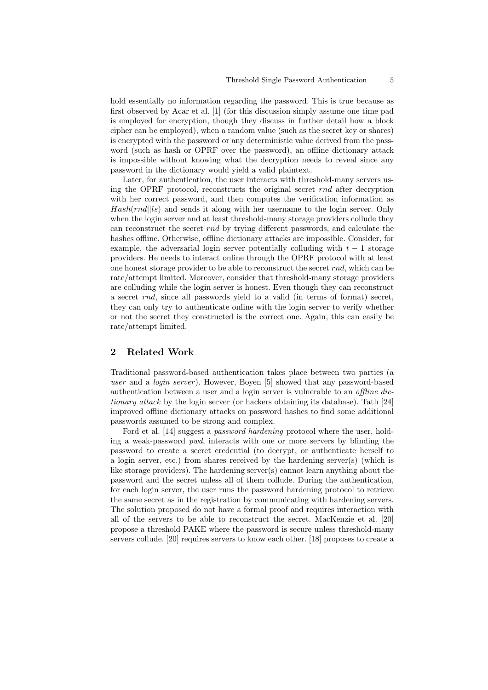hold essentially no information regarding the password. This is true because as first observed by Acar et al. [1] (for this discussion simply assume one time pad is employed for encryption, though they discuss in further detail how a block cipher can be employed), when a random value (such as the secret key or shares) is encrypted with the password or any deterministic value derived from the password (such as hash or OPRF over the password), an offline dictionary attack is impossible without knowing what the decryption needs to reveal since any password in the dictionary would yield a valid plaintext.

Later, for authentication, the user interacts with threshold-many servers using the OPRF protocol, reconstructs the original secret rnd after decryption with her correct password, and then computes the verification information as  $Hash(rnd||ls)$  and sends it along with her username to the login server. Only when the login server and at least threshold-many storage providers collude they can reconstruct the secret rnd by trying different passwords, and calculate the hashes offline. Otherwise, offline dictionary attacks are impossible. Consider, for example, the adversarial login server potentially colluding with  $t - 1$  storage providers. He needs to interact online through the OPRF protocol with at least one honest storage provider to be able to reconstruct the secret rnd, which can be rate/attempt limited. Moreover, consider that threshold-many storage providers are colluding while the login server is honest. Even though they can reconstruct a secret rnd, since all passwords yield to a valid (in terms of format) secret, they can only try to authenticate online with the login server to verify whether or not the secret they constructed is the correct one. Again, this can easily be rate/attempt limited.

## 2 Related Work

Traditional password-based authentication takes place between two parties (a user and a *login server*). However, Boyen [5] showed that any password-based authentication between a user and a login server is vulnerable to an offline dictionary attack by the login server (or hackers obtaining its database). Tatlı [24] improved offline dictionary attacks on password hashes to find some additional passwords assumed to be strong and complex.

Ford et al. [14] suggest a *password hardening* protocol where the user, holding a weak-password pwd, interacts with one or more servers by blinding the password to create a secret credential (to decrypt, or authenticate herself to a login server, etc.) from shares received by the hardening server(s) (which is like storage providers). The hardening server(s) cannot learn anything about the password and the secret unless all of them collude. During the authentication, for each login server, the user runs the password hardening protocol to retrieve the same secret as in the registration by communicating with hardening servers. The solution proposed do not have a formal proof and requires interaction with all of the servers to be able to reconstruct the secret. MacKenzie et al. [20] propose a threshold PAKE where the password is secure unless threshold-many servers collude. [20] requires servers to know each other. [18] proposes to create a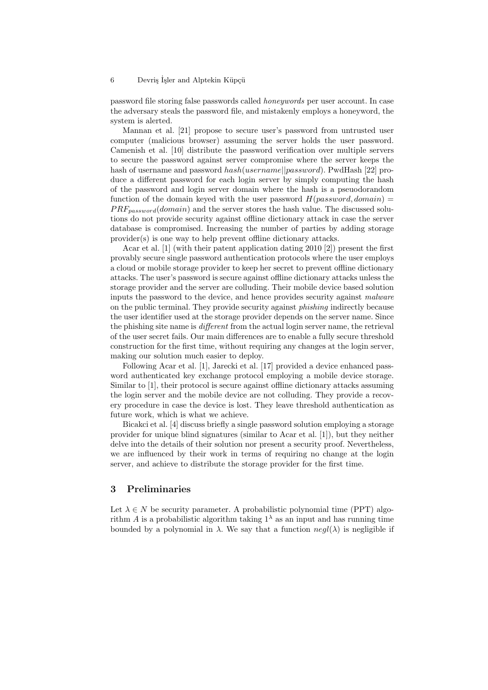#### $6$  Devris  $\dot{\mathbf{I}}$ sler and Alptekin Küpçü

password file storing false passwords called honeywords per user account. In case the adversary steals the password file, and mistakenly employs a honeyword, the system is alerted.

Mannan et al. [21] propose to secure user's password from untrusted user computer (malicious browser) assuming the server holds the user password. Camenish et al. [10] distribute the password verification over multiple servers to secure the password against server compromise where the server keeps the hash of username and password  $hash(username||password)$ . PwdHash [22] produce a different password for each login server by simply computing the hash of the password and login server domain where the hash is a pseuodorandom function of the domain keyed with the user password  $H(password, domain) =$  $PRF_{password}(domain)$  and the server stores the hash value. The discussed solutions do not provide security against offline dictionary attack in case the server database is compromised. Increasing the number of parties by adding storage provider(s) is one way to help prevent offline dictionary attacks.

Acar et al. [1] (with their patent application dating 2010 [2]) present the first provably secure single password authentication protocols where the user employs a cloud or mobile storage provider to keep her secret to prevent offline dictionary attacks. The user's password is secure against offline dictionary attacks unless the storage provider and the server are colluding. Their mobile device based solution inputs the password to the device, and hence provides security against malware on the public terminal. They provide security against phishing indirectly because the user identifier used at the storage provider depends on the server name. Since the phishing site name is different from the actual login server name, the retrieval of the user secret fails. Our main differences are to enable a fully secure threshold construction for the first time, without requiring any changes at the login server, making our solution much easier to deploy.

Following Acar et al. [1], Jarecki et al. [17] provided a device enhanced password authenticated key exchange protocol employing a mobile device storage. Similar to [1], their protocol is secure against offline dictionary attacks assuming the login server and the mobile device are not colluding. They provide a recovery procedure in case the device is lost. They leave threshold authentication as future work, which is what we achieve.

Bicakci et al. [4] discuss briefly a single password solution employing a storage provider for unique blind signatures (similar to Acar et al. [1]), but they neither delve into the details of their solution nor present a security proof. Nevertheless, we are influenced by their work in terms of requiring no change at the login server, and achieve to distribute the storage provider for the first time.

## 3 Preliminaries

Let  $\lambda \in N$  be security parameter. A probabilistic polynomial time (PPT) algorithm A is a probabilistic algorithm taking  $1^{\lambda}$  as an input and has running time bounded by a polynomial in  $\lambda$ . We say that a function  $negl(\lambda)$  is negligible if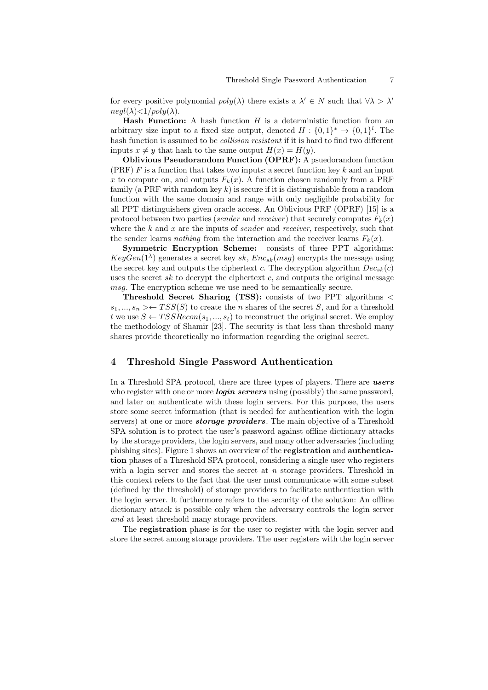for every positive polynomial  $poly(\lambda)$  there exists a  $\lambda' \in N$  such that  $\forall \lambda > \lambda'$  $negl(\lambda) < 1/poly(\lambda)$ .

**Hash Function:** A hash function  $H$  is a deterministic function from an arbitrary size input to a fixed size output, denoted  $H: \{0,1\}^* \to \{0,1\}^l$ . The hash function is assumed to be *collision resistant* if it is hard to find two different inputs  $x \neq y$  that hash to the same output  $H(x) = H(y)$ .

Oblivious Pseudorandom Function (OPRF): A psuedorandom function (PRF)  $F$  is a function that takes two inputs: a secret function key  $k$  and an input x to compute on, and outputs  $F_k(x)$ . A function chosen randomly from a PRF family (a PRF with random key  $k$ ) is secure if it is distinguishable from a random function with the same domain and range with only negligible probability for all PPT distinguishers given oracle access. An Oblivious PRF (OPRF) [15] is a protocol between two parties (sender and receiver) that securely computes  $F_k(x)$ where the  $k$  and  $x$  are the inputs of *sender* and *receiver*, respectively, such that the sender learns *nothing* from the interaction and the receiver learns  $F_k(x)$ .

Symmetric Encryption Scheme: consists of three PPT algorithms:  $KeyGen(1<sup>\lambda</sup>)$  generates a secret key sk,  $Enc_{sk}(msg)$  encrypts the message using the secret key and outputs the ciphertext c. The decryption algorithm  $Dec_{sk}(c)$ uses the secret sk to decrypt the ciphertext  $c$ , and outputs the original message msg. The encryption scheme we use need to be semantically secure.

Threshold Secret Sharing (TSS): consists of two PPT algorithms <  $s_1, ..., s_n \geq \leftarrow TSS(S)$  to create the n shares of the secret S, and for a threshold t we use  $S \leftarrow TSSRecon(s_1, ..., s_t)$  to reconstruct the original secret. We employ the methodology of Shamir [23]. The security is that less than threshold many shares provide theoretically no information regarding the original secret.

## 4 Threshold Single Password Authentication

In a Threshold SPA protocol, there are three types of players. There are **users** who register with one or more **login servers** using (possibly) the same password, and later on authenticate with these login servers. For this purpose, the users store some secret information (that is needed for authentication with the login servers) at one or more **storage providers**. The main objective of a Threshold SPA solution is to protect the user's password against offline dictionary attacks by the storage providers, the login servers, and many other adversaries (including phishing sites). Figure 1 shows an overview of the registration and authentication phases of a Threshold SPA protocol, considering a single user who registers with a login server and stores the secret at  $n$  storage providers. Threshold in this context refers to the fact that the user must communicate with some subset (defined by the threshold) of storage providers to facilitate authentication with the login server. It furthermore refers to the security of the solution: An offline dictionary attack is possible only when the adversary controls the login server and at least threshold many storage providers.

The registration phase is for the user to register with the login server and store the secret among storage providers. The user registers with the login server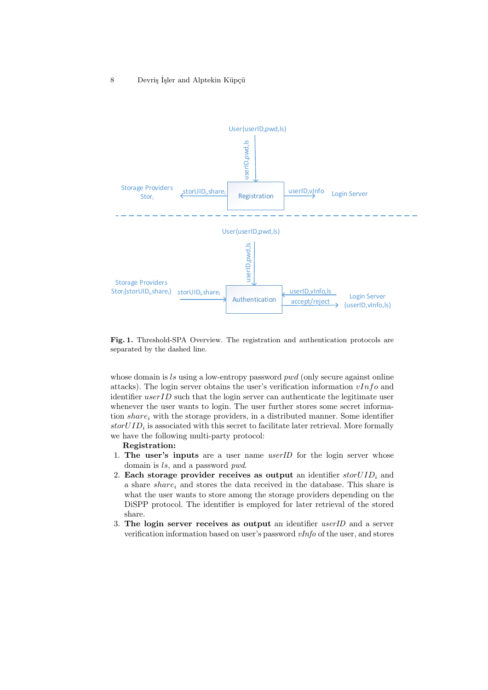

Fig. 1. Threshold-SPA Overview. The registration and authentication protocols are separated by the dashed line.

whose domain is  $ls$  using a low-entropy password  $pwd$  (only secure against online attacks). The login server obtains the user's verification information  $vInfo$  and identifier userID such that the login server can authenticate the legitimate user whenever the user wants to login. The user further stores some secret information  $share_i$  with the storage providers, in a distributed manner. Some identifier  $storUID_i$  is associated with this secret to facilitate later retrieval. More formally we have the following multi-party protocol:

Registration:

- 1. The user's inputs are a user name *userID* for the login server whose domain is ls, and a password pwd.
- 2. Each storage provider receives as output an identifier  $storUID_i$  and a share share<sub>i</sub> and stores the data received in the database. This share is what the user wants to store among the storage providers depending on the DiSPP protocol. The identifier is employed for later retrieval of the stored share.
- 3. The login server receives as output an identifier userID and a server verification information based on user's password vInfo of the user, and stores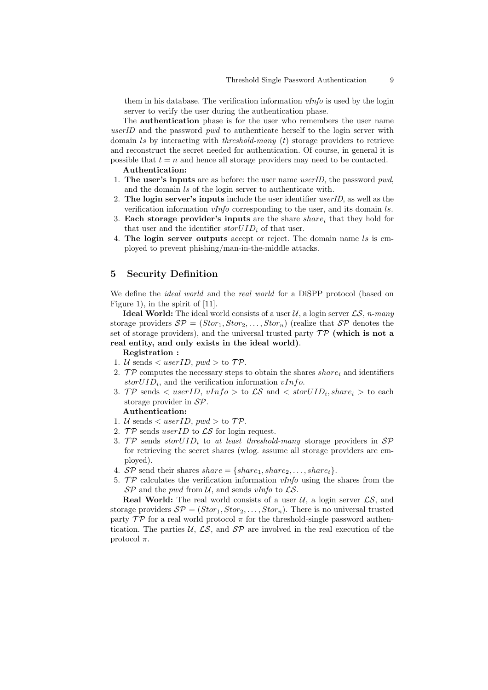them in his database. The verification information  $vInfo$  is used by the login server to verify the user during the authentication phase.

The authentication phase is for the user who remembers the user name userID and the password pwd to authenticate herself to the login server with domain ls by interacting with *threshold-many*  $(t)$  storage providers to retrieve and reconstruct the secret needed for authentication. Of course, in general it is possible that  $t = n$  and hence all storage providers may need to be contacted.

Authentication:

- 1. The user's inputs are as before: the user name  $userID$ , the password pwd, and the domain ls of the login server to authenticate with.
- 2. The login server's inputs include the user identifier userID, as well as the verification information  $vInfo$  corresponding to the user, and its domain ls.
- 3. Each storage provider's inputs are the share share; that they hold for that user and the identifier  $storUID_i$  of that user.
- 4. The login server outputs accept or reject. The domain name  $ls$  is employed to prevent phishing/man-in-the-middle attacks.

## 5 Security Definition

We define the *ideal world* and the *real world* for a DiSPP protocol (based on Figure 1), in the spirit of [11].

**Ideal World:** The ideal world consists of a user  $\mathcal{U}$ , a login server  $\mathcal{LS}$ , *n*-many storage providers  $\mathcal{SP} = (Stor_1, Stor_2, \ldots, Stor_n)$  (realize that  $\mathcal{SP}$  denotes the set of storage providers), and the universal trusted party  $\mathcal{TP}$  (which is not a real entity, and only exists in the ideal world).

Registration :

- 1. U sends  $\langle$  userID, pwd  $>$  to  $\mathcal{TP}$ .
- 2.  $\mathcal{TP}$  computes the necessary steps to obtain the shares share<sub>i</sub> and identifiers  $storUID_i$ , and the verification information  $vInfo$ .
- 3. TP sends  $\langle$  userID,  $vInfo >$  to  $\mathcal{LS}$  and  $\langle$  storUID<sub>i</sub>, share<sub>i</sub>  $>$  to each storage provider in SP.

#### Authentication:

- 1. U sends  $\langle$  userID, pwd  $>$  to  $\mathcal{TP}$ .
- 2.  $\mathcal{TP}$  sends userID to  $\mathcal{LS}$  for login request.
- 3. TP sends storUID<sub>i</sub> to at least threshold-many storage providers in SP for retrieving the secret shares (wlog. assume all storage providers are employed).
- 4. SP send their shares  $share = \{share_1, share_2, \ldots, share_t\}.$
- 5.  $\mathcal{TP}$  calculates the verification information vInfo using the shares from the  $\mathcal{SP}$  and the *pwd* from U, and sends *vInfo* to  $\mathcal{LS}$ .

**Real World:** The real world consists of a user  $U$ , a login server  $\mathcal{LS}$ , and storage providers  $\mathcal{SP} = (Stor_1, Stor_2, \ldots, Stor_n)$ . There is no universal trusted party  $\mathcal{TP}$  for a real world protocol  $\pi$  for the threshold-single password authentication. The parties  $U, \mathcal{LS},$  and  $\mathcal{SP}$  are involved in the real execution of the protocol  $\pi$ .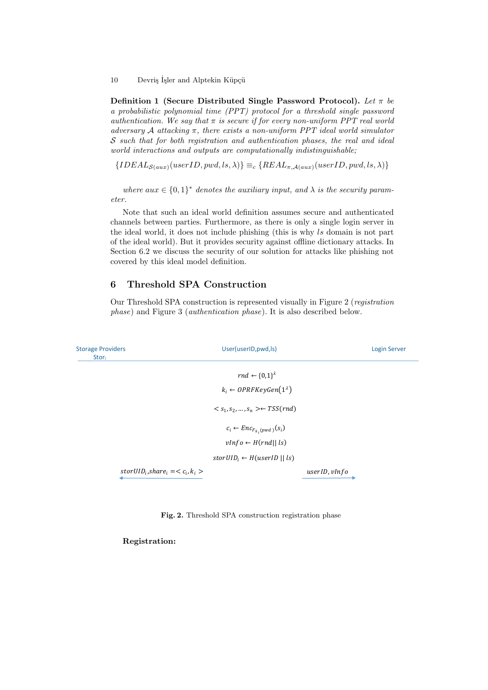Definition 1 (Secure Distributed Single Password Protocol). Let  $\pi$  be a probabilistic polynomial time (PPT) protocol for a threshold single password authentication. We say that  $\pi$  is secure if for every non-uniform PPT real world adversary A attacking  $\pi$ , there exists a non-uniform PPT ideal world simulator S such that for both registration and authentication phases, the real and ideal world interactions and outputs are computationally indistinguishable;

 ${IDEAL_{\mathcal{S}(aux)}(userID, pwd, ls, \lambda)} \equiv_c {REAL_{\pi,\mathcal{A}(aux)}(userID, pwd, ls, \lambda)}$ 

where  $aux \in \{0,1\}^*$  denotes the auxiliary input, and  $\lambda$  is the security parameter.

Note that such an ideal world definition assumes secure and authenticated channels between parties. Furthermore, as there is only a single login server in the ideal world, it does not include phishing (this is why ls domain is not part of the ideal world). But it provides security against offline dictionary attacks. In Section 6.2 we discuss the security of our solution for attacks like phishing not covered by this ideal model definition.

## 6 Threshold SPA Construction

Our Threshold SPA construction is represented visually in Figure 2 (registration phase) and Figure 3 (authentication phase). It is also described below.

| <b>Storage Providers</b><br>Stor                | User(userID, pwd, ls)                             |               | <b>Login Server</b> |  |
|-------------------------------------------------|---------------------------------------------------|---------------|---------------------|--|
|                                                 | $rnd \leftarrow \{0,1\}^{\lambda}$                |               |                     |  |
|                                                 | $k_i \leftarrow \text{OPRFKeyGen}(1^{\lambda})$   |               |                     |  |
|                                                 | $S_1, S_2, \ldots, S_n > \leftarrow TSS(rnd)$     |               |                     |  |
|                                                 | $c_i \leftarrow Enc_{F_{k_i}(pwd)}(s_i)$          |               |                     |  |
|                                                 | $vInfo \leftarrow H(rnd  ls)$                     |               |                     |  |
|                                                 | storUID <sub>i</sub> $\leftarrow$ H(userID    ls) |               |                     |  |
| storUID <sub>i</sub> , share $i = < c_i, k_i >$ |                                                   | userID, vInfo |                     |  |

Fig. 2. Threshold SPA construction registration phase

Registration: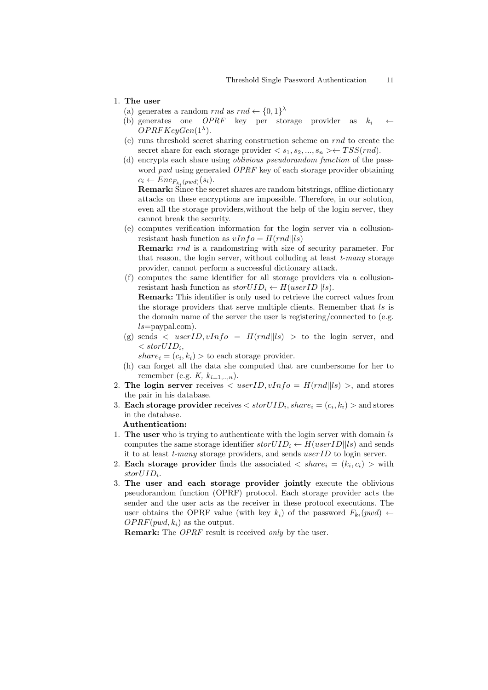- 1. The user
	- (a) generates a random  $rnd \leftarrow \{0,1\}^{\lambda}$
	- (b) generates one  $OPRF$  key per storage provider as  $k_i \leftarrow$  $OPRFKeyGen(1^{\lambda}).$
	- (c) runs threshold secret sharing construction scheme on rnd to create the secret share for each storage provider  $\langle s_1, s_2, ..., s_n \rangle \leftarrow TSS(rnd)$ .
	- (d) encrypts each share using oblivious pseudorandom function of the password *pwd* using generated *OPRF* key of each storage provider obtaining  $c_i \leftarrow Enc_{F_{k_i}(pwd)}(s_i).$

Remark: Since the secret shares are random bitstrings, offline dictionary attacks on these encryptions are impossible. Therefore, in our solution, even all the storage providers,without the help of the login server, they cannot break the security.

- (e) computes verification information for the login server via a collusionresistant hash function as  $vInfo = H(rnd||ls)$ Remark: rnd is a randomstring with size of security parameter. For that reason, the login server, without colluding at least  $t$ -many storage
- provider, cannot perform a successful dictionary attack. (f) computes the same identifier for all storage providers via a collusionresistant hash function as  $storUID_i \leftarrow H(userID||ls)$ .

Remark: This identifier is only used to retrieve the correct values from the storage providers that serve multiple clients. Remember that ls is the domain name of the server the user is registering/connected to (e.g.  $ls =$ paypal.com).

(g) sends  $\langle$  userID,  $vInfo = H(rnd||ls) >$  to the login server, and  $\langle$  storUID<sub>i</sub>,

 $share_i = (c_i, k_i) >$  to each storage provider.

- (h) can forget all the data she computed that are cumbersome for her to remember (e.g. K,  $k_{i=1,\ldots,n}$ ).
- 2. The login server receives  $\langle$  userID,  $vInfo = H(rnd||ls)$ , and stores the pair in his database.
- 3. Each storage provider receives  $\langle$  stor $UID_i, share_i = (c_i, k_i) >$  and stores in the database.

Authentication:

- 1. The user who is trying to authenticate with the login server with domain  $ls$ computes the same storage identifier  $storUID_i \leftarrow H(userID||ls)$  and sends it to at least t-many storage providers, and sends userID to login server.
- 2. Each storage provider finds the associated  $\langle share_i = (k_i, c_i) \rangle$  with  $storUID_i.$
- 3. The user and each storage provider jointly execute the oblivious pseudorandom function (OPRF) protocol. Each storage provider acts the sender and the user acts as the receiver in these protocol executions. The user obtains the OPRF value (with key  $k_i$ ) of the password  $F_{k_i}(pwd) \leftarrow$  $OPRF(pwd, k_i)$  as the output.

Remark: The OPRF result is received only by the user.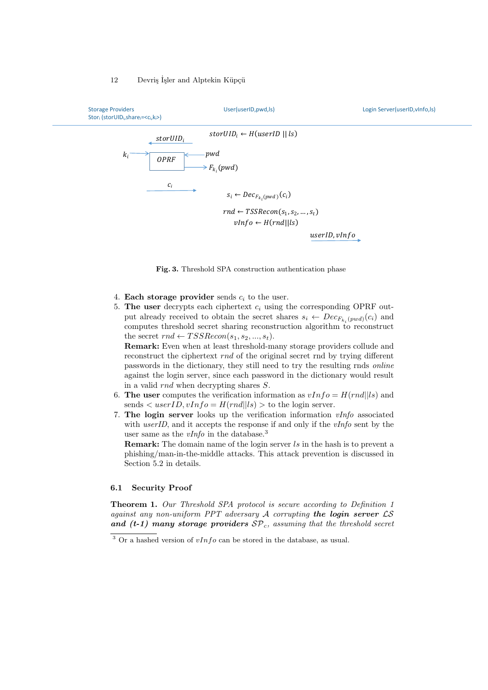

Fig. 3. Threshold SPA construction authentication phase

- 4. Each storage provider sends  $c_i$  to the user.
- 5. The user decrypts each ciphertext  $c_i$  using the corresponding OPRF output already received to obtain the secret shares  $s_i \leftarrow Dec_{F_{k_i}(pwd)}(c_i)$  and computes threshold secret sharing reconstruction algorithm to reconstruct the secret  $rnd \leftarrow TSSRecon(s_1, s_2, ..., s_t).$

Remark: Even when at least threshold-many storage providers collude and reconstruct the ciphertext rnd of the original secret rnd by trying different passwords in the dictionary, they still need to try the resulting rnds online against the login server, since each password in the dictionary would result in a valid rnd when decrypting shares S.

- 6. The user computes the verification information as  $vInfo = H(rnd||ls)$  and sends  $\langle$  userID,  $vInfo = H(rnd||ls) >$  to the login server.
- 7. The login server looks up the verification information  $vInfo$  associated with *userID*, and it accepts the response if and only if the *vInfo* sent by the user same as the  $vInfo$  in the database.<sup>3</sup>

Remark: The domain name of the login server ls in the hash is to prevent a phishing/man-in-the-middle attacks. This attack prevention is discussed in Section 5.2 in details.

## 6.1 Security Proof

Theorem 1. Our Threshold SPA protocol is secure according to Definition 1 against any non-uniform PPT adversary  $A$  corrupting the login server  $\mathcal{LS}$ and (t-1) many storage providers  $SP<sub>c</sub>$ , assuming that the threshold secret

 $3$  Or a hashed version of  $vInfo$  can be stored in the database, as usual.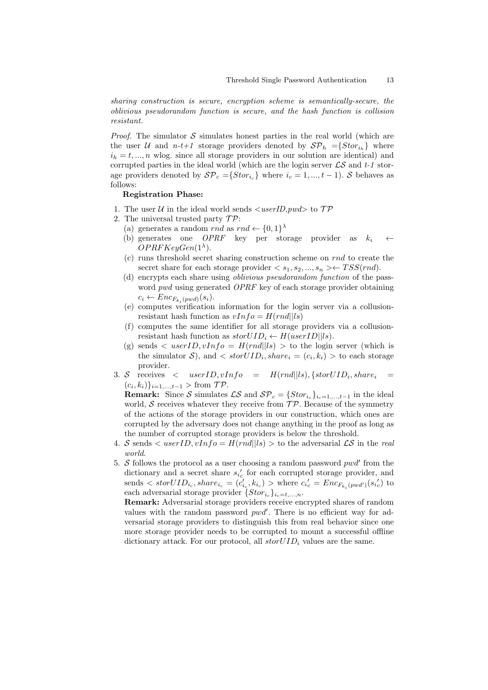sharing construction is secure, encryption scheme is semantically-secure, the oblivious pseudorandom function is secure, and the hash function is collision resistant.

*Proof.* The simulator S simulates honest parties in the real world (which are the user U and  $n-t+1$  storage providers denoted by  $\mathcal{SP}_h = \{Stor_{i_h}\}\$  where  $i_h = t, \ldots, n$  wlog. since all storage providers in our solution are identical) and corrupted parties in the ideal world (which are the login server  $\mathcal{LS}$  and  $t$ -1 storage providers denoted by  $\mathcal{SP}_c = \{Stor_{i_c}\}\$  where  $i_c = 1, ..., t-1$ ).  $\mathcal S$  behaves as follows:

#### Registration Phase:

- 1. The user U in the ideal world sends  $\langle \textit{userID}, \textit{pwd} \rangle$  to  $\mathcal{TP}$
- 2. The universal trusted party  $\mathcal{TP}$ :
	- (a) generates a random  $rnd \leftarrow \{0,1\}^{\lambda}$
	- (b) generates one  $OPRF$  key per storage provider as  $k_i$  $OPRFKeyGen(1^{\lambda}).$
	- (c) runs threshold secret sharing construction scheme on rnd to create the secret share for each storage provider  $\langle s_1, s_2, ..., s_n \rangle \leftarrow TSS(rnd)$ .
	- (d) encrypts each share using oblivious pseudorandom function of the password pwd using generated OPRF key of each storage provider obtaining  $c_i \leftarrow Enc_{F_{k_i}(pwd)}(s_i).$
	- (e) computes verification information for the login server via a collusionresistant hash function as  $vInfo = H(rnd||ls)$
	- (f) computes the same identifier for all storage providers via a collusionresistant hash function as  $storUID_i \leftarrow H(userID||ls).$
	- (g) sends  $\langle$  userID,  $vInfo = H(rnd||ls) >$  to the login server (which is the simulator S), and  $\langle$  storUID<sub>i</sub>, share<sub>i</sub> =  $(c_i, k_i)$   $>$  to each storage provider.
- 3. S receives  $\langle$  user ID,  $vInfo = H(rnd||ls)$ ,  $\{storUID_i, share_i =$  $(c_i, k_i)\}_{i=1,\ldots,t-1}$  > from  $\mathcal{TP}$ .

**Remark:** Since S simulates  $\mathcal{LS}$  and  $\mathcal{SP}_c = \{Stor_{i_c}\}_{i_c=1,\dots,t-1}$  in the ideal world, S receives whatever they receive from  $\mathcal{TP}$ . Because of the symmetry of the actions of the storage providers in our construction, which ones are corrupted by the adversary does not change anything in the proof as long as the number of corrupted storage providers is below the threshold.

- 4. S sends  $\langle$  userID,  $vInfo = H(rnd||ls) >$  to the adversarial  $\mathcal{LS}$  in the real world.
- 5.  $S$  follows the protocol as a user choosing a random password  $pwd'$  from the dictionary and a secret share  $s_i'_c$  for each corrupted storage provider, and sends  $\langle$  storUID<sub>ic</sub>, share<sub>ic</sub> = (c'<sub>ic</sub>, k<sub>ic</sub>)  $\rangle$  where  $c_i' = Enc_{F_{k_i}(pwd')}(s_i'_{c})$  to each adversarial storage provider  $\{Stor_{i_c}\}_{i_c=t,\dots,n}$ .

Remark: Adversarial storage providers receive encrypted shares of random values with the random password  $pwd'$ . There is no efficient way for adversarial storage providers to distinguish this from real behavior since one more storage provider needs to be corrupted to mount a successful offline dictionary attack. For our protocol, all  $storUID_i$  values are the same.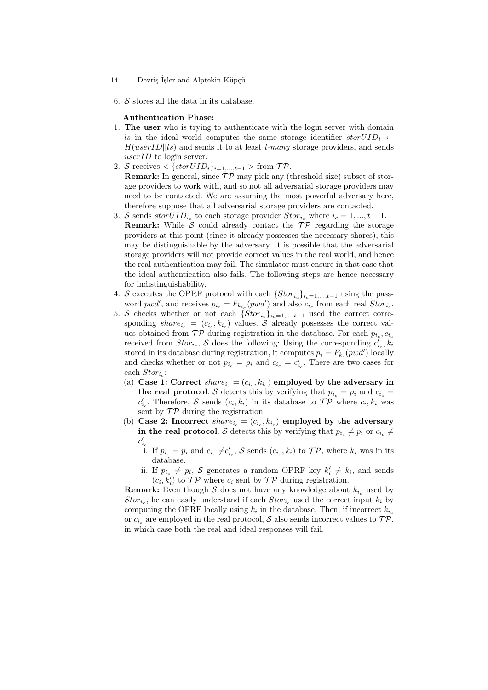- 14 Devris İşler and Alptekin Küpçü
- 6.  $S$  stores all the data in its database.

## Authentication Phase:

- 1. The user who is trying to authenticate with the login server with domain ls in the ideal world computes the same storage identifier  $storUID_i \leftarrow$  $H(userID||ls)$  and sends it to at least *t-many* storage providers, and sends  $userID$  to login server.
- 2. S receives  $\langle \{storUID_i\}_{i=1,\ldots,t-1} > from \mathcal{TP}$ .

**Remark:** In general, since  $\mathcal{TP}$  may pick any (threshold size) subset of storage providers to work with, and so not all adversarial storage providers may need to be contacted. We are assuming the most powerful adversary here, therefore suppose that all adversarial storage providers are contacted.

- 3. S sends  $storUID_{i_c}$  to each storage provider  $Stor_{i_c}$  where  $i_c = 1, ..., t 1$ . **Remark:** While S could already contact the  $\mathcal{TP}$  regarding the storage providers at this point (since it already possesses the necessary shares), this may be distinguishable by the adversary. It is possible that the adversarial storage providers will not provide correct values in the real world, and hence the real authentication may fail. The simulator must ensure in that case that the ideal authentication also fails. The following steps are hence necessary for indistinguishability.
- 4. S executes the OPRF protocol with each  ${[Stor_{i_c}]_{i_c=1,...,t-1}}$  using the password pwd', and receives  $p_{i_c} = F_{k_{i_c}}(pwd')$  and also  $c_{i_c}$  from each real  $Stor_{i_c}$ .
- 5. S checks whether or not each  $\{Stor_{i_c}\}_{i_c=1,\dots,t-1}$  used the correct corresponding  $share_{i_c} = (c_{i_c}, k_{i_c})$  values. S already possesses the correct values obtained from  $\mathcal{TP}$  during registration in the database. For each  $p_{i_c}, c_{i_c}$ received from  $Stor_{i_c}$ , S does the following: Using the corresponding  $c'_{i_c}$ ,  $k_i$ stored in its database during registration, it computes  $p_i = F_{k_i}(pwd')$  locally and checks whether or not  $p_{i_c} = p_i$  and  $c_{i_c} = c'_{i_c}$ . There are two cases for each  $Stor_{i_c}$ :
	- (a) Case 1: Correct  $share_{i_c} = (c_{i_c}, k_{i_c})$  employed by the adversary in the real protocol. S detects this by verifying that  $p_{i_c} = p_i$  and  $c_{i_c} =$  $c'_{i_c}$ . Therefore, S sends  $(c_i, k_i)$  in its database to  $\mathcal{TP}$  where  $c_i, k_i$  was sent by  $\mathcal{TP}$  during the registration.
	- (b) Case 2: Incorrect  $share_{i_c} = (c_{i_c}, k_{i_c})$  employed by the adversary in the real protocol. S detects this by verifying that  $p_{i_c} \neq p_i$  or  $c_{i_c} \neq$  $c'_{i_c}$ .
		- i. If  $p_{i_c} = p_i$  and  $c_{i_c} \neq c'_{i_c}$ , S sends  $(c_{i_c}, k_i)$  to  $\mathcal{TP}$ , where  $k_i$  was in its database.
		- ii. If  $p_{i_c} \neq p_i$ , S generates a random OPRF key  $k'_i \neq k_i$ , and sends  $(c_i, k'_i)$  to  $\mathcal{TP}$  where  $c_i$  sent by  $\mathcal{TP}$  during registration.

**Remark:** Even though S does not have any knowledge about  $k_{i_c}$  used by  $Stor_{i_c}$ , he can easily understand if each  $Stor_{i_c}$  used the correct input  $k_i$  by computing the OPRF locally using  $k_i$  in the database. Then, if incorrect  $k_{i_c}$ or  $c_{i_c}$  are employed in the real protocol,  $S$  also sends incorrect values to  $\mathcal{TP}$ , in which case both the real and ideal responses will fail.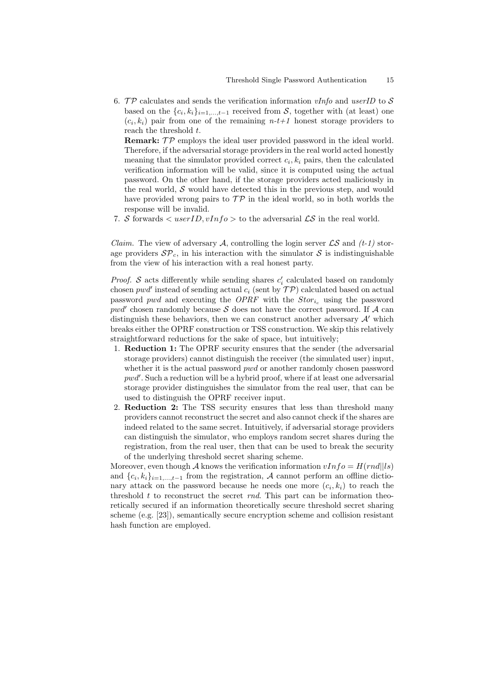6.  $\mathcal{TP}$  calculates and sends the verification information vInfo and userID to S based on the  $\{c_i, k_i\}_{i=1,\dots,t-1}$  received from S, together with (at least) one  $(c_i, k_i)$  pair from one of the remaining  $n-t+1$  honest storage providers to reach the threshold  $t$ .

**Remark:**  $\mathcal{TP}$  employs the ideal user provided password in the ideal world. Therefore, if the adversarial storage providers in the real world acted honestly meaning that the simulator provided correct  $c_i, k_i$  pairs, then the calculated verification information will be valid, since it is computed using the actual password. On the other hand, if the storage providers acted maliciously in the real world,  $S$  would have detected this in the previous step, and would have provided wrong pairs to  $\mathcal{TP}$  in the ideal world, so in both worlds the response will be invalid.

7. S forwards  $\langle$  userID,  $vInfo >$  to the adversarial  $\mathcal{LS}$  in the real world.

*Claim.* The view of adversary A, controlling the login server  $\mathcal{LS}$  and  $(t-1)$  storage providers  $\mathcal{SP}_c$ , in his interaction with the simulator  $\mathcal S$  is indistinguishable from the view of his interaction with a real honest party.

*Proof.*  $S$  acts differently while sending shares  $c_i$  calculated based on randomly chosen  $pwd'$  instead of sending actual  $c_i$  (sent by  $\mathcal{TP}$ ) calculated based on actual password pwd and executing the OPRF with the  $Stor_{i_c}$  using the password pwd' chosen randomly because S does not have the correct password. If A can distinguish these behaviors, then we can construct another adversary  $A'$  which breaks either the OPRF construction or TSS construction. We skip this relatively straightforward reductions for the sake of space, but intuitively;

- 1. Reduction 1: The OPRF security ensures that the sender (the adversarial storage providers) cannot distinguish the receiver (the simulated user) input, whether it is the actual password *pwd* or another randomly chosen password  $pwd'$ . Such a reduction will be a hybrid proof, where if at least one adversarial storage provider distinguishes the simulator from the real user, that can be used to distinguish the OPRF receiver input.
- 2. Reduction 2: The TSS security ensures that less than threshold many providers cannot reconstruct the secret and also cannot check if the shares are indeed related to the same secret. Intuitively, if adversarial storage providers can distinguish the simulator, who employs random secret shares during the registration, from the real user, then that can be used to break the security of the underlying threshold secret sharing scheme.

Moreover, even though A knows the verification information  $vInfo = H(rnd||ls)$ and  $\{c_i, k_i\}_{i=1,\dots,t-1}$  from the registration, A cannot perform an offline dictionary attack on the password because he needs one more  $(c_i, k_i)$  to reach the threshold t to reconstruct the secret  $rnd$ . This part can be information theoretically secured if an information theoretically secure threshold secret sharing scheme (e.g. [23]), semantically secure encryption scheme and collision resistant hash function are employed.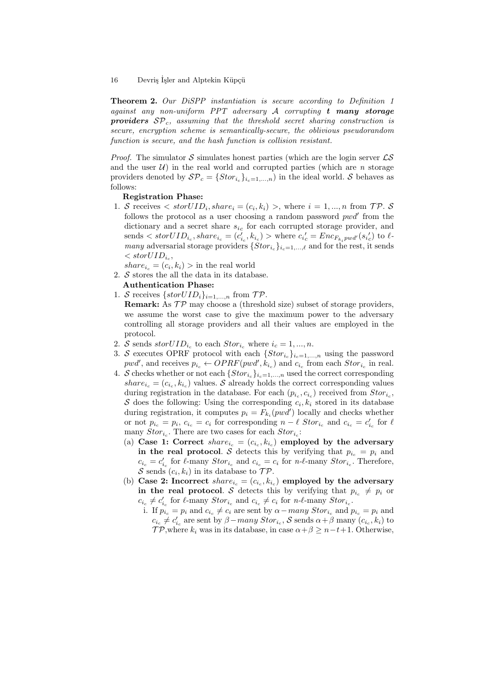Theorem 2. Our DiSPP instantiation is secure according to Definition 1  $against$  any non-uniform PPT adversary  $A$  corrupting  $t$  many storage providers  $SP<sub>c</sub>$ , assuming that the threshold secret sharing construction is secure, encryption scheme is semantically-secure, the oblivious pseudorandom function is secure, and the hash function is collision resistant.

*Proof.* The simulator S simulates honest parties (which are the login server  $\mathcal{LS}$ and the user  $\mathcal{U}$ ) in the real world and corrupted parties (which are n storage providers denoted by  $\mathcal{SP}_c = \{Stor_{i_c}\}_{i_c=1,\ldots,n}$  in the ideal world.  $\mathcal S$  behaves as follows:

#### Registration Phase:

1. S receives  $\langle$  storUID<sub>i</sub>, share<sub>i</sub> =  $(c_i, k_i)$  >, where  $i = 1, ..., n$  from  $\mathcal{TP}$ . S follows the protocol as a user choosing a random password  $pwd'$  from the dictionary and a secret share  $s_{ic}$  for each corrupted storage provider, and sends  $\langle$  storUID<sub>ic</sub>, share<sub>ic</sub> = ( $c'_{i_c}$ ,  $k_{i_c}$ )  $\rangle$  where  $c_{i_c}$ ' = Enc<sub>F<sub>ki</sub>pwd'( $s'_{i_c}$ ) to  $\ell$ -</sub> *many* adversarial storage providers  ${Stor_{i_c}}_{i_c=1,\ldots,\ell}$  and for the rest, it sends  $\langle$  storUID<sub>ic</sub>,

 $share_{i_c} = (c_i, k_i) > \text{in the real world}$ 

- 2. S stores the all the data in its database.
- Authentication Phase:
- 1. S receives  $\{storUID_i\}_{i=1,...,n}$  from  $\mathcal{TP}$ .

**Remark:** As  $\mathcal{TP}$  may choose a (threshold size) subset of storage providers, we assume the worst case to give the maximum power to the adversary controlling all storage providers and all their values are employed in the protocol.

- 2. S sends  $storUID_{i_c}$  to each  $Stor_{i_c}$  where  $i_c = 1, ..., n$ .
- 3. S executes OPRF protocol with each  ${Stor_{i_c}}_{i_c=1,\dots,n}$  using the password  $pwd'$ , and receives  $p_{i_c} \leftarrow OPRF(pwd', k_{i_c})$  and  $c_{i_c}$  from each  $Stor_{i_c}$  in real.
- 4. S checks whether or not each  $\{Stor_{i_c}\}_{i_c=1,\ldots,n}$  used the correct corresponding  $share_{i_c} = (c_{i_c}, k_{i_c})$  values. S already holds the correct corresponding values during registration in the database. For each  $(p_{i_c}, c_{i_c})$  received from  $Stor_{i_c}$ , S does the following: Using the corresponding  $c_i, k_i$  stored in its database during registration, it computes  $p_i = F_{k_i}(pwd')$  locally and checks whether or not  $p_{i_c} = p_i$ ,  $c_{i_c} = c_i$  for corresponding  $n - \ell$  Stor<sub>ic</sub> and  $c_{i_c} = c'_{i_c}$  for  $\ell$ many  $Stor_{i_c}$ . There are two cases for each  $Stor_{i_c}$ :
	- (a) Case 1: Correct  $share_{i_c} = (c_{i_c}, k_{i_c})$  employed by the adversary in the real protocol. S detects this by verifying that  $p_{i_c} = p_i$  and  $c_{i_c} = c'_{i_c}$  for  $\ell$ -many  $Stor_{i_c}$  and  $c_{i_c} = c_i$  for  $n-\ell$ -many  $Stor_{i_c}$ . Therefore, S sends  $(c_i, k_i)$  in its database to  $\mathcal{TP}$ .
	- (b) Case 2: Incorrect  $share_{i_c} = (c_{i_c}, k_{i_c})$  employed by the adversary in the real protocol. S detects this by verifying that  $p_{i_c} \neq p_i$  or  $c_{i_c} \neq c'_{i_c}$  for  $\ell$ -many  $Stor_{i_c}$  and  $c_{i_c} \neq c_i$  for  $n$ - $\ell$ -many  $Stor_{i_c}$ .
		- i. If  $p_{i_c} = p_i$  and  $c_{i_c} \neq c_i$  are sent by  $\alpha -$ many  $Stor_{i_c}$  and  $p_{i_c} = p_i$  and  $c_{i_c} \neq c'_{i_c}$  are sent by  $\beta - many\ Stor_{i_c}, \mathcal{S}$  sends  $\alpha + \beta$  many  $(c_{i_c}, k_i)$  to  $\mathcal{TP}$ , where  $k_i$  was in its database, in case  $\alpha + \beta \geq n - t + 1$ . Otherwise,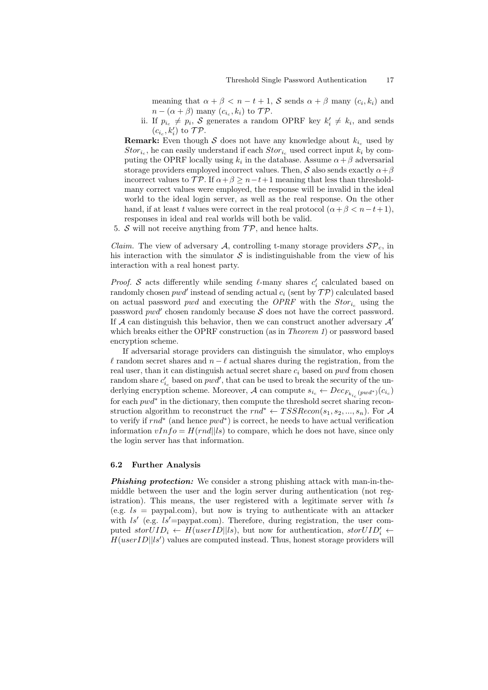meaning that  $\alpha + \beta < n - t + 1$ , S sends  $\alpha + \beta$  many  $(c_i, k_i)$  and  $n - (\alpha + \beta)$  many  $(c_{i_c}, k_i)$  to  $\mathcal{TP}$ .

ii. If  $p_{i_c} \neq p_i$ , S generates a random OPRF key  $k'_i \neq k_i$ , and sends  $(c_{i_c},k'_i)$  to  $\mathcal{TP}.$ 

**Remark:** Even though S does not have any knowledge about  $k_{i_c}$  used by  $Stor_{i_c}$ , he can easily understand if each  $Stor_{i_c}$  used correct input  $k_i$  by computing the OPRF locally using  $k_i$  in the database. Assume  $\alpha + \beta$  adversarial storage providers employed incorrect values. Then, S also sends exactly  $\alpha + \beta$ incorrect values to  $\mathcal{TP}$ . If  $\alpha + \beta \geq n-t+1$  meaning that less than thresholdmany correct values were employed, the response will be invalid in the ideal world to the ideal login server, as well as the real response. On the other hand, if at least t values were correct in the real protocol  $(\alpha + \beta < n-t+1)$ , responses in ideal and real worlds will both be valid.

5.  $S$  will not receive anything from  $\mathcal{TP}$ , and hence halts.

*Claim.* The view of adversary A, controlling t-many storage providers  $\mathcal{SP}_c$ , in his interaction with the simulator  $S$  is indistinguishable from the view of his interaction with a real honest party.

*Proof.*  $S$  acts differently while sending  $\ell$ -many shares  $c'_i$  calculated based on randomly chosen  $pwd'$  instead of sending actual  $c_i$  (sent by  $\mathcal{TP}$ ) calculated based on actual password pwd and executing the OPRF with the  $Stor_{i_c}$  using the password  $pwd'$  chosen randomly because S does not have the correct password. If A can distinguish this behavior, then we can construct another adversary  $\mathcal{A}'$ which breaks either the OPRF construction (as in *Theorem 1*) or password based encryption scheme.

If adversarial storage providers can distinguish the simulator, who employs  $\ell$  random secret shares and  $n - \ell$  actual shares during the registration, from the real user, than it can distinguish actual secret share  $c_i$  based on  $pwd$  from chosen random share  $c'_{i_c}$  based on  $pwd'$ , that can be used to break the security of the underlying encryption scheme. Moreover, A can compute  $s_{i_c} \leftarrow Dec_{F_{k_{i_c}}(pwd^*)}(c_{i_c})$ for each  $pwd^*$  in the dictionary, then compute the threshold secret sharing reconstruction algorithm to reconstruct the  $rnd^* \leftarrow TSSRecon(s_1, s_2, ..., s_n)$ . For A to verify if rnd<sup>∗</sup> (and hence pwd<sup>∗</sup> ) is correct, he needs to have actual verification information  $vInfo = H(rnd||ls)$  to compare, which he does not have, since only the login server has that information.

#### 6.2 Further Analysis

**Phishing protection:** We consider a strong phishing attack with man-in-themiddle between the user and the login server during authentication (not registration). This means, the user registered with a legitimate server with  $ls$ (e.g.  $ls =$  paypal.com), but now is trying to authenticate with an attacker with  $ls'$  (e.g.  $ls' =$ paypat.com). Therefore, during registration, the user computed  $storUID_i \leftarrow H(userID||ls)$ , but now for authentication,  $storUID_i' \leftarrow$  $H(userID||ls')$  values are computed instead. Thus, honest storage providers will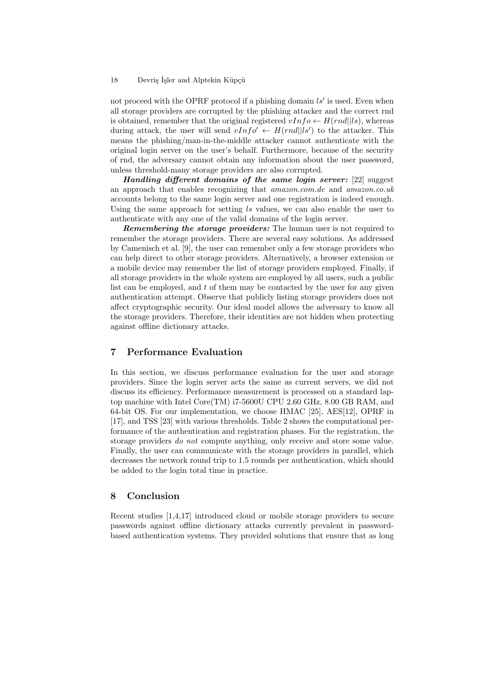not proceed with the OPRF protocol if a phishing domain  $ls'$  is used. Even when all storage providers are corrupted by the phishing attacker and the correct rnd is obtained, remember that the original registered  $vInfo \leftarrow H(rnd||ls)$ , whereas during attack, the user will send  $vInfo' \leftarrow H(rnd||ls')$  to the attacker. This means the phishing/man-in-the-middle attacker cannot authenticate with the original login server on the user's behalf. Furthermore, because of the security of rnd, the adversary cannot obtain any information about the user password, unless threshold-many storage providers are also corrupted.

Handling different domains of the same login server:  $[22]$  suggest an approach that enables recognizing that amazon.com.de and amazon.co.uk accounts belong to the same login server and one registration is indeed enough. Using the same approach for setting ls values, we can also enable the user to authenticate with any one of the valid domains of the login server.

**Remembering the storage providers:** The human user is not required to remember the storage providers. There are several easy solutions. As addressed by Camenisch et al. [9], the user can remember only a few storage providers who can help direct to other storage providers. Alternatively, a browser extension or a mobile device may remember the list of storage providers employed. Finally, if all storage providers in the whole system are employed by all users, such a public list can be employed, and  $t$  of them may be contacted by the user for any given authentication attempt. Observe that publicly listing storage providers does not affect cryptographic security. Our ideal model allows the adversary to know all the storage providers. Therefore, their identities are not hidden when protecting against offline dictionary attacks.

## 7 Performance Evaluation

In this section, we discuss performance evaluation for the user and storage providers. Since the login server acts the same as current servers, we did not discuss its efficiency. Performance measurement is processed on a standard laptop machine with Intel Core(TM) i7-5600U CPU 2.60 GHz, 8.00 GB RAM, and 64-bit OS. For our implementation, we choose HMAC [25], AES[12], OPRF in [17], and TSS [23] with various thresholds. Table 2 shows the computational performance of the authentication and registration phases. For the registration, the storage providers do not compute anything, only receive and store some value. Finally, the user can communicate with the storage providers in parallel, which decreases the network round trip to 1.5 rounds per authentication, which should be added to the login total time in practice.

## 8 Conclusion

Recent studies [1,4,17] introduced cloud or mobile storage providers to secure passwords against offline dictionary attacks currently prevalent in passwordbased authentication systems. They provided solutions that ensure that as long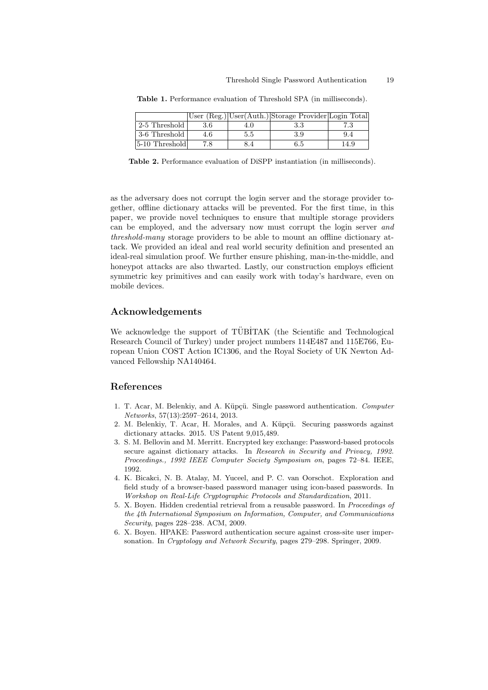|                |     |     | User (Reg.) User (Auth.) Storage Provider Login Total |      |
|----------------|-----|-----|-------------------------------------------------------|------|
| 2-5 Threshold  | 3.6 | 4.0 | 3.3                                                   | 7.3  |
| 3-6 Threshold  | 4.6 | 5.5 | 3.9                                                   | 9.4  |
| 5-10 Threshold | 7.8 | 8.4 | 6.5                                                   | 14.9 |

Table 1. Performance evaluation of Threshold SPA (in milliseconds).

Table 2. Performance evaluation of DiSPP instantiation (in milliseconds).

as the adversary does not corrupt the login server and the storage provider together, offline dictionary attacks will be prevented. For the first time, in this paper, we provide novel techniques to ensure that multiple storage providers can be employed, and the adversary now must corrupt the login server and threshold-many storage providers to be able to mount an offline dictionary attack. We provided an ideal and real world security definition and presented an ideal-real simulation proof. We further ensure phishing, man-in-the-middle, and honeypot attacks are also thwarted. Lastly, our construction employs efficient symmetric key primitives and can easily work with today's hardware, even on mobile devices.

## Acknowledgements

We acknowledge the support of TÜBİTAK (the Scientific and Technological Research Council of Turkey) under project numbers 114E487 and 115E766, European Union COST Action IC1306, and the Royal Society of UK Newton Advanced Fellowship NA140464.

## References

- 1. T. Acar, M. Belenkiy, and A. Küpçü. Single password authentication. Computer Networks, 57(13):2597–2614, 2013.
- 2. M. Belenkiy, T. Acar, H. Morales, and A. Küpçü. Securing passwords against dictionary attacks. 2015. US Patent 9,015,489.
- 3. S. M. Bellovin and M. Merritt. Encrypted key exchange: Password-based protocols secure against dictionary attacks. In Research in Security and Privacy, 1992. Proceedings., 1992 IEEE Computer Society Symposium on, pages 72–84. IEEE, 1992.
- 4. K. Bicakci, N. B. Atalay, M. Yuceel, and P. C. van Oorschot. Exploration and field study of a browser-based password manager using icon-based passwords. In Workshop on Real-Life Cryptographic Protocols and Standardization, 2011.
- 5. X. Boyen. Hidden credential retrieval from a reusable password. In Proceedings of the 4th International Symposium on Information, Computer, and Communications Security, pages 228–238. ACM, 2009.
- 6. X. Boyen. HPAKE: Password authentication secure against cross-site user impersonation. In Cryptology and Network Security, pages 279–298. Springer, 2009.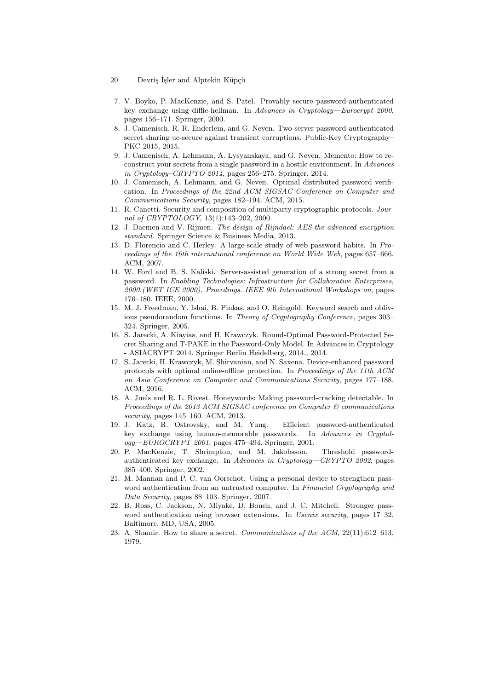- 7. V. Boyko, P. MacKenzie, and S. Patel. Provably secure password-authenticated key exchange using diffie-hellman. In Advances in Cryptology—Eurocrypt 2000, pages 156–171. Springer, 2000.
- 8. J. Camenisch, R. R. Enderlein, and G. Neven. Two-server password-authenticated secret sharing uc-secure against transient corruptions. Public-Key Cryptography– PKC 2015, 2015.
- 9. J. Camenisch, A. Lehmann, A. Lysyanskaya, and G. Neven. Memento: How to reconstruct your secrets from a single password in a hostile environment. In Advances in Cryptology–CRYPTO 2014, pages 256–275. Springer, 2014.
- 10. J. Camenisch, A. Lehmann, and G. Neven. Optimal distributed password verification. In Proceedings of the 22nd ACM SIGSAC Conference on Computer and Communications Security, pages 182–194. ACM, 2015.
- 11. R. Canetti. Security and composition of multiparty cryptographic protocols. Journal of CRYPTOLOGY, 13(1):143–202, 2000.
- 12. J. Daemen and V. Rijmen. The design of Rijndael: AES-the advanced encryption standard. Springer Science & Business Media, 2013.
- 13. D. Florencio and C. Herley. A large-scale study of web password habits. In Proceedings of the 16th international conference on World Wide Web, pages 657–666. ACM, 2007.
- 14. W. Ford and B. S. Kaliski. Server-assisted generation of a strong secret from a password. In Enabling Technologies: Infrastructure for Collaborative Enterprises, 2000.(WET ICE 2000). Proeedings. IEEE 9th International Workshops on, pages 176–180. IEEE, 2000.
- 15. M. J. Freedman, Y. Ishai, B. Pinkas, and O. Reingold. Keyword search and oblivious pseudorandom functions. In Theory of Cryptography Conference, pages 303– 324. Springer, 2005.
- 16. S. Jarecki, A. Kiayias, and H. Krawczyk. Round-Optimal Password-Protected Secret Sharing and T-PAKE in the Password-Only Model. In Advances in Cryptology - ASIACRYPT 2014. Springer Berlin Heidelberg, 2014., 2014.
- 17. S. Jarecki, H. Krawczyk, M. Shirvanian, and N. Saxena. Device-enhanced password protocols with optimal online-offline protection. In Proceedings of the 11th ACM on Asia Conference on Computer and Communications Security, pages 177–188. ACM, 2016.
- 18. A. Juels and R. L. Rivest. Honeywords: Making password-cracking detectable. In Proceedings of the 2013 ACM SIGSAC conference on Computer & communications security, pages 145–160. ACM, 2013.
- 19. J. Katz, R. Ostrovsky, and M. Yung. Efficient password-authenticated key exchange using human-memorable passwords. In Advances in Cryptol $ogy-EUROCRYPT 2001$ , pages 475-494. Springer, 2001.
- 20. P. MacKenzie, T. Shrimpton, and M. Jakobsson. Threshold passwordauthenticated key exchange. In Advances in Cryptology—CRYPTO 2002, pages 385–400. Springer, 2002.
- 21. M. Mannan and P. C. van Oorschot. Using a personal device to strengthen password authentication from an untrusted computer. In Financial Cryptography and Data Security, pages 88–103. Springer, 2007.
- 22. B. Ross, C. Jackson, N. Miyake, D. Boneh, and J. C. Mitchell. Stronger password authentication using browser extensions. In *Usenix security*, pages 17-32. Baltimore, MD, USA, 2005.
- 23. A. Shamir. How to share a secret. Communications of the  $ACM$ ,  $22(11):612-613$ , 1979.